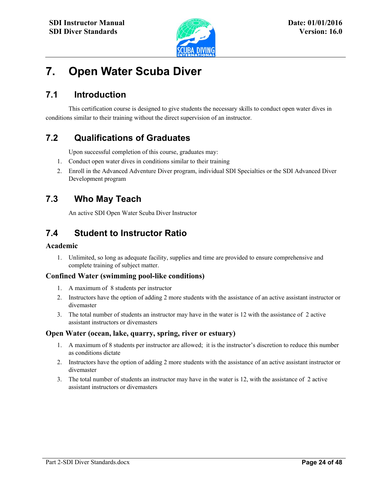

l

# **7. Open Water Scuba Diver**

# **7.1 Introduction**

This certification course is designed to give students the necessary skills to conduct open water dives in conditions similar to their training without the direct supervision of an instructor.

# **7.2 Qualifications of Graduates**

Upon successful completion of this course, graduates may:

- 1. Conduct open water dives in conditions similar to their training
- 2. Enroll in the Advanced Adventure Diver program, individual SDI Specialties or the SDI Advanced Diver Development program

### **7.3 Who May Teach**

An active SDI Open Water Scuba Diver Instructor

# **7.4 Student to Instructor Ratio**

#### **Academic**

1. Unlimited, so long as adequate facility, supplies and time are provided to ensure comprehensive and complete training of subject matter.

### **Confined Water (swimming pool-like conditions)**

- 1. A maximum of 8 students per instructor
- 2. Instructors have the option of adding 2 more students with the assistance of an active assistant instructor or divemaster
- 3. The total number of students an instructor may have in the water is 12 with the assistance of 2 active assistant instructors or divemasters

#### **Open Water (ocean, lake, quarry, spring, river or estuary)**

- 1. A maximum of 8 students per instructor are allowed; it is the instructor's discretion to reduce this number as conditions dictate
- 2. Instructors have the option of adding 2 more students with the assistance of an active assistant instructor or divemaster
- 3. The total number of students an instructor may have in the water is 12, with the assistance of 2 active assistant instructors or divemasters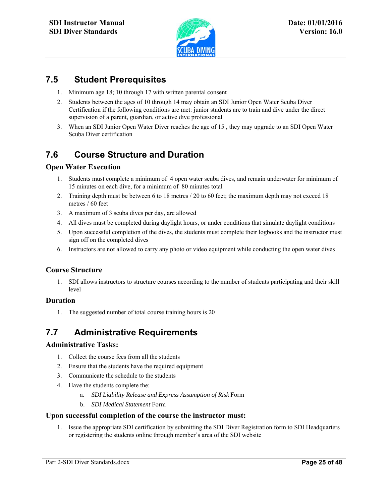

l

### **7.5 Student Prerequisites**

- 1. Minimum age 18; 10 through 17 with written parental consent
- 2. Students between the ages of 10 through 14 may obtain an SDI Junior Open Water Scuba Diver Certification if the following conditions are met: junior students are to train and dive under the direct supervision of a parent, guardian, or active dive professional
- 3. When an SDI Junior Open Water Diver reaches the age of 15 , they may upgrade to an SDI Open Water Scuba Diver certification

# **7.6 Course Structure and Duration**

### **Open Water Execution**

- 1. Students must complete a minimum of 4 open water scuba dives, and remain underwater for minimum of 15 minutes on each dive, for a minimum of 80 minutes total
- 2. Training depth must be between 6 to 18 metres / 20 to 60 feet; the maximum depth may not exceed 18 metres / 60 feet
- 3. A maximum of 3 scuba dives per day, are allowed
- 4. All dives must be completed during daylight hours, or under conditions that simulate daylight conditions
- 5. Upon successful completion of the dives, the students must complete their logbooks and the instructor must sign off on the completed dives
- 6. Instructors are not allowed to carry any photo or video equipment while conducting the open water dives

### **Course Structure**

1. SDI allows instructors to structure courses according to the number of students participating and their skill level

#### **Duration**

1. The suggested number of total course training hours is 20

# **7.7 Administrative Requirements**

#### **Administrative Tasks:**

- 1. Collect the course fees from all the students
- 2. Ensure that the students have the required equipment
- 3. Communicate the schedule to the students
- 4. Have the students complete the:
	- a. *SDI Liability Release and Express Assumption of Risk* Form
	- b. *SDI Medical Statement* Form

#### **Upon successful completion of the course the instructor must:**

1. Issue the appropriate SDI certification by submitting the SDI Diver Registration form to SDI Headquarters or registering the students online through member's area of the SDI website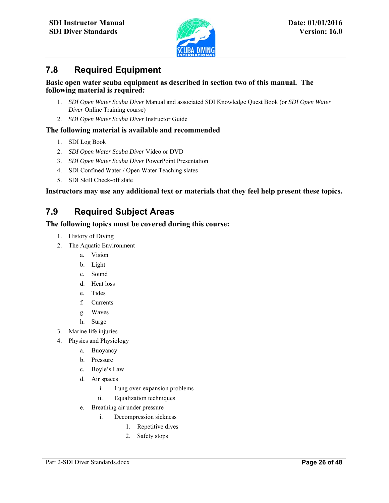

### **7.8 Required Equipment**

#### **Basic open water scuba equipment as described in section two of this manual. The following material is required:**

l

- 1. *SDI Open Water Scuba Diver* Manual and associated SDI Knowledge Quest Book (or *SDI Open Water Diver* Online Training course)
- 2. *SDI Open Water Scuba Diver* Instructor Guide

### **The following material is available and recommended**

- 1. SDI Log Book
- 2. *SDI Open Water Scuba Diver* Video or DVD
- 3. *SDI Open Water Scuba Diver* PowerPoint Presentation
- 4. SDI Confined Water / Open Water Teaching slates
- 5. SDI Skill Check-off slate

### **Instructors may use any additional text or materials that they feel help present these topics.**

# **7.9 Required Subject Areas**

### **The following topics must be covered during this course:**

- 1. History of Diving
- 2. The Aquatic Environment
	- a. Vision
	- b. Light
	- c. Sound
	- d. Heat loss
	- e. Tides
	- f. Currents
	- g. Waves
	- h. Surge
- 3. Marine life injuries
- 4. Physics and Physiology
	- a. Buoyancy
	- b. Pressure
	- c. Boyle's Law
	- d. Air spaces
		- i. Lung over-expansion problems
		- ii. Equalization techniques
	- e. Breathing air under pressure
		- i. Decompression sickness
			- 1. Repetitive dives
			- 2. Safety stops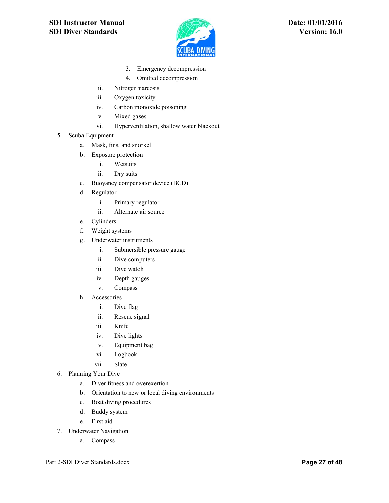

3. Emergency decompression

l

- 4. Omitted decompression
- ii. Nitrogen narcosis
- iii. Oxygen toxicity
- iv. Carbon monoxide poisoning
- v. Mixed gases
- vi. Hyperventilation, shallow water blackout
- 5. Scuba Equipment
	- a. Mask, fins, and snorkel
	- b. Exposure protection
		- i. Wetsuits
		- ii. Dry suits
	- c. Buoyancy compensator device (BCD)
	- d. Regulator
		- i. Primary regulator
		- ii. Alternate air source
	- e. Cylinders
	- f. Weight systems
	- g. Underwater instruments
		- i. Submersible pressure gauge
		- ii. Dive computers
		- iii. Dive watch
		- iv. Depth gauges
		- v. Compass
	- h. Accessories
		- i. Dive flag
		- ii. Rescue signal
		- iii. Knife
		- iv. Dive lights
		- v. Equipment bag
		- vi. Logbook
		- vii. Slate
- 6. Planning Your Dive
	- a. Diver fitness and overexertion
	- b. Orientation to new or local diving environments
	- c. Boat diving procedures
	- d. Buddy system
	- e. First aid
- 7. Underwater Navigation
	- a. Compass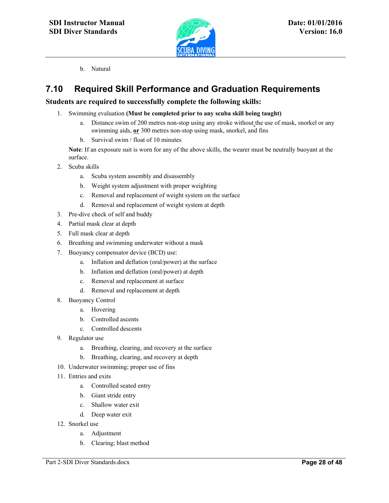

b. Natural

# **7.10 Required Skill Performance and Graduation Requirements**

### **Students are required to successfully complete the following skills:**

1. Swimming evaluation **(Must be completed prior to any scuba skill being taught)**

l

- a. Distance swim of 200 metres non-stop using any stroke without the use of mask, snorkel or any swimming aids, **or** 300 metres non-stop using mask, snorkel, and fins
- b. Survival swim / float of 10 minutes

 **Note**: If an exposure suit is worn for any of the above skills, the wearer must be neutrally buoyant at the surface.

- 2. Scuba skills
	- a. Scuba system assembly and disassembly
	- b. Weight system adjustment with proper weighting
	- c. Removal and replacement of weight system on the surface
	- d. Removal and replacement of weight system at depth
- 3. Pre-dive check of self and buddy
- 4. Partial mask clear at depth
- 5. Full mask clear at depth
- 6. Breathing and swimming underwater without a mask
- 7. Buoyancy compensator device (BCD) use:
	- a. Inflation and deflation (oral/power) at the surface
	- b. Inflation and deflation (oral/power) at depth
	- c. Removal and replacement at surface
	- d. Removal and replacement at depth
- 8. Buoyancy Control
	- a. Hovering
	- b. Controlled ascents
	- c. Controlled descents
- 9. Regulator use
	- a. Breathing, clearing, and recovery at the surface
	- b. Breathing, clearing, and recovery at depth
- 10. Underwater swimming; proper use of fins
- 11. Entries and exits
	- a. Controlled seated entry
	- b. Giant stride entry
	- c. Shallow water exit
	- d. Deep water exit
- 12. Snorkel use
	- a. Adjustment
	- b. Clearing; blast method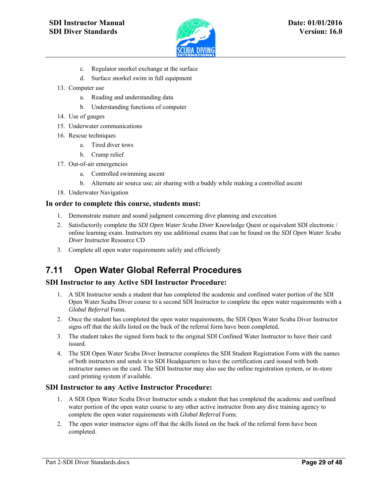

l

- c. Regulator snorkel exchange at the surface
- d. Surface snorkel swim in full equipment
- 13. Computer use
	- a. Reading and understanding data
	- b. Understanding functions of computer
- 14. Use of gauges
- 15. Underwater communications
- 16. Rescue techniques
	- a. Tired diver tows
	- b. Cramp relief
- 17. Out-of-air emergencies
	- a. Controlled swimming ascent
	- b. Alternate air source use; air sharing with a buddy while making a controlled ascent
- 18. Underwater Navigation

#### **In order to complete this course, students must:**

- 1. Demonstrate mature and sound judgment concerning dive planning and execution
- 2. Satisfactorily complete the *SDI Open Water Scuba Diver* Knowledge Quest or equivalent SDI electronic / online learning exam. Instructors my use additional exams that can be found on the *SDI Open Water Scuba Diver* Instructor Resource CD
- 3. Complete all open water requirements safely and efficiently

# **7.11 Open Water Global Referral Procedures**

#### **SDI Instructor to any Active SDI Instructor Procedure:**

- 1. A SDI Instructor sends a student that has completed the academic and confined water portion of the SDI Open Water Scuba Diver course to a second SDI Instructor to complete the open water requirements with a *Global Referral* Form.
- 2. Once the student has completed the open water requirements, the SDI Open Water Scuba Diver Instructor signs off that the skills listed on the back of the referral form have been completed.
- 3. The student takes the signed form back to the original SDI Confined Water Instructor to have their card issued.
- 4. The SDI Open Water Scuba Diver Instructor completes the SDI Student Registration Form with the names of both instructors and sends it to SDI Headquarters to have the certification card issued with both instructor names on the card. The SDI Instructor may also use the online registration system, or in-store card printing system if available.

#### **SDI Instructor to any Active Instructor Procedure:**

- 1. A SDI Open Water Scuba Diver Instructor sends a student that has completed the academic and confined water portion of the open water course to any other active instructor from any dive training agency to complete the open water requirements with *Global Referral* Form.
- 2. The open water instructor signs off that the skills listed on the back of the referral form have been completed.